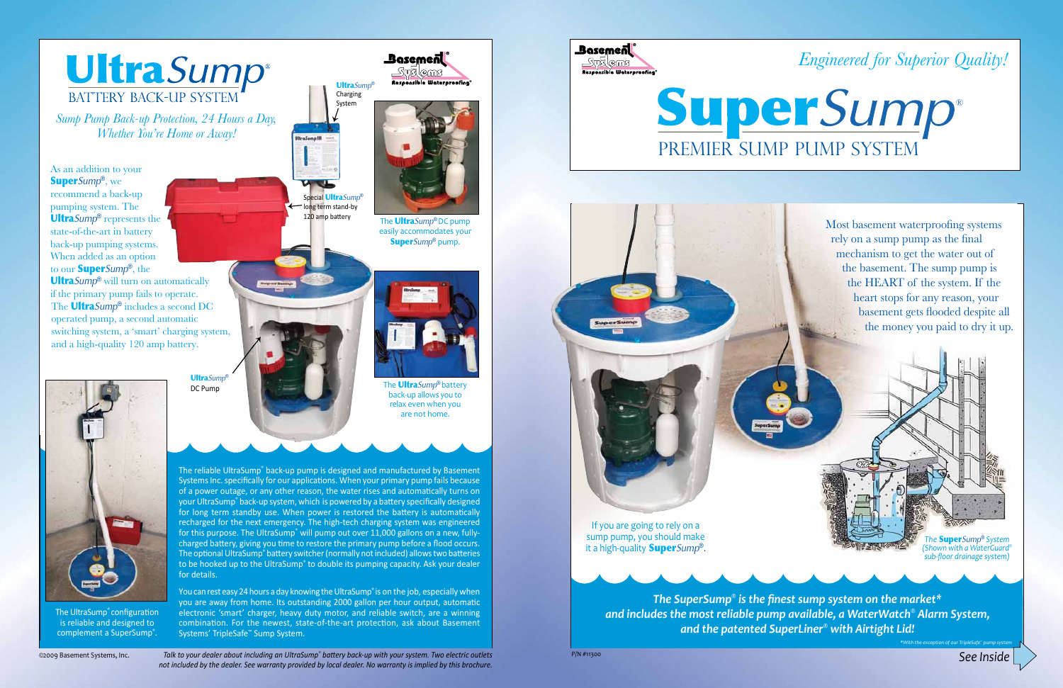*See Inside*



*Sump Pump Back-up Protection, 24 Hours a Day, Whether You're Home or Away!* 

©2009 Basement Systems, Inc.

The reliable UltraSump® back-up pump is designed and manufactured by Basement Systems Inc. specifically for our applications. When your primary pump fails because of a power outage, or any other reason, the water rises and automatically turns on your UltraSump® back-up system, which is powered by a battery specifically designed for long term standby use. When power is restored the battery is automatically recharged for the next emergency. The high-tech charging system was engineered for this purpose. The UltraSump<sup>®</sup> will pump out over 11,000 gallons on a new, fullycharged battery, giving you time to restore the primary pump before a flood occurs. The optional UltraSump® battery switcher (normally not included) allows two batteries to be hooked up to the UltraSump® to double its pumping capacity. Ask your dealer for details.

You can rest easy 24 hours a day knowing the UltraSump® is on the job, especially when you are away from home. Its outstanding 2000 gallon per hour output, automatic electronic 'smart' charger, heavy duty motor, and reliable switch, are a winning combination. For the newest, state-of-the-art protection, ask about Basement Systems' TripleSafe™ Sump System.



The UltraSump® configuration is reliable and designed to complement a SuperSump<sup>®</sup>.





The Ultra*Sump*® DC pump easily accommodates your Super*Sump*® pump.



The Ultra*Sump*® battery back-up allows you to relax even when you are not home.

Most basement waterproofing systems rely on a sump pump as the final mechanism to get the water out of the basement. The sump pump is the HEART of the system. If the heart stops for any reason, your basement gets flooded despite all the money you paid to dry it up.

> *The* Super*Sump*® *System (Shown with a WaterGuard® sub-floor drainage system)*

*Talk to your dealer about including an UltraSump® battery back-up with your system. Two electric outlets not included by the dealer. See warranty provided by local dealer. No warranty is implied by this brochure.*

P/N #11300

Ultra*Sump*® DC Pump



If you are going to rely on a sump pump, you should make it a high-quality Super*Sump*®.





**Basemen** 

*The SuperSump® is the finest sump system on the market\* and includes the most reliable pump available, a WaterWatch® Alarm System, and the patented SuperLiner® with Airtight Lid!*

*\*With the exception of our TripleSafe™ pump system*

As an addition to your Super*Sump*®, we recommend a back-up pumping system. The Ultra*Sump*® represents the state-of-the-art in battery back-up pumping systems. When added as an option to our Super*Sump*®, the

Ultra*Sump*® will turn on automatically if the primary pump fails to operate. The Ultra*Sump*® includes a second DC operated pump, a second automatic switching system, a 'smart' charging system, and a high-quality 120 amp battery.

*Engineered for Superior Quality!*

Premier Sump Pump System ®